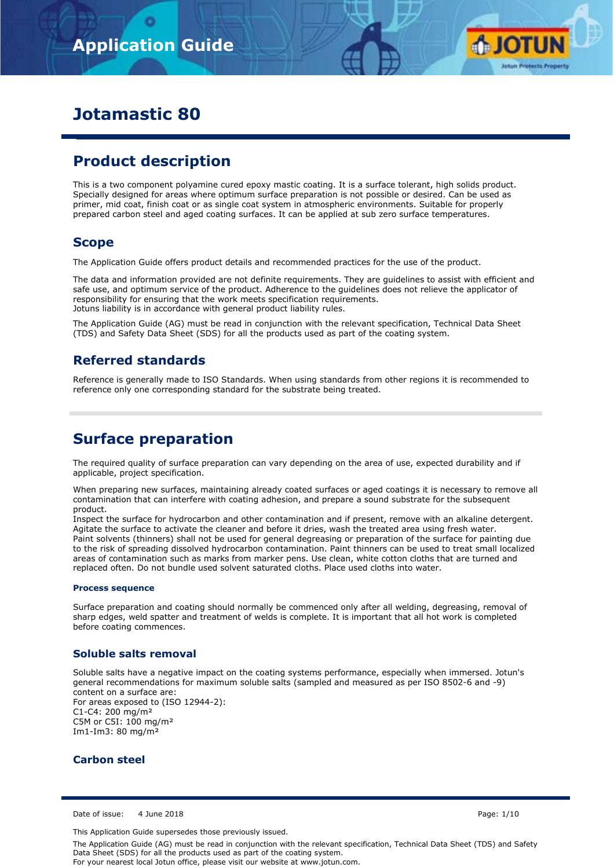

# **Jotamastic 80**

# **Product description**

This is a two component polyamine cured epoxy mastic coating. It is a surface tolerant, high solids product. Specially designed for areas where optimum surface preparation is not possible or desired. Can be used as primer, mid coat, finish coat or as single coat system in atmospheric environments. Suitable for properly prepared carbon steel and aged coating surfaces. It can be applied at sub zero surface temperatures.

# **Scope**

The Application Guide offers product details and recommended practices for the use of the product.

The data and information provided are not definite requirements. They are guidelines to assist with efficient and safe use, and optimum service of the product. Adherence to the guidelines does not relieve the applicator of responsibility for ensuring that the work meets specification requirements. Jotuns liability is in accordance with general product liability rules.

The Application Guide (AG) must be read in conjunction with the relevant specification, Technical Data Sheet (TDS) and Safety Data Sheet (SDS) for all the products used as part of the coating system.

# **Referred standards**

Reference is generally made to ISO Standards. When using standards from other regions it is recommended to reference only one corresponding standard for the substrate being treated.

# **Surface preparation**

The required quality of surface preparation can vary depending on the area of use, expected durability and if applicable, project specification.

When preparing new surfaces, maintaining already coated surfaces or aged coatings it is necessary to remove all contamination that can interfere with coating adhesion, and prepare a sound substrate for the subsequent product.

Inspect the surface for hydrocarbon and other contamination and if present, remove with an alkaline detergent. Agitate the surface to activate the cleaner and before it dries, wash the treated area using fresh water. Paint solvents (thinners) shall not be used for general degreasing or preparation of the surface for painting due to the risk of spreading dissolved hydrocarbon contamination. Paint thinners can be used to treat small localized areas of contamination such as marks from marker pens. Use clean, white cotton cloths that are turned and replaced often. Do not bundle used solvent saturated cloths. Place used cloths into water.

#### **Process sequence**

Surface preparation and coating should normally be commenced only after all welding, degreasing, removal of sharp edges, weld spatter and treatment of welds is complete. It is important that all hot work is completed before coating commences.

## **Soluble salts removal**

Soluble salts have a negative impact on the coating systems performance, especially when immersed. Jotun's general recommendations for maximum soluble salts (sampled and measured as per ISO 8502-6 and -9) content on a surface are: For areas exposed to (ISO 12944-2): C1-C4: 200 mg/m² C5M or C5I: 100 mg/m² Im1-Im3: 80 mg/m²

## **Carbon steel**

Date of issue: 4 June 2018 Page: 1/10

This Application Guide supersedes those previously issued.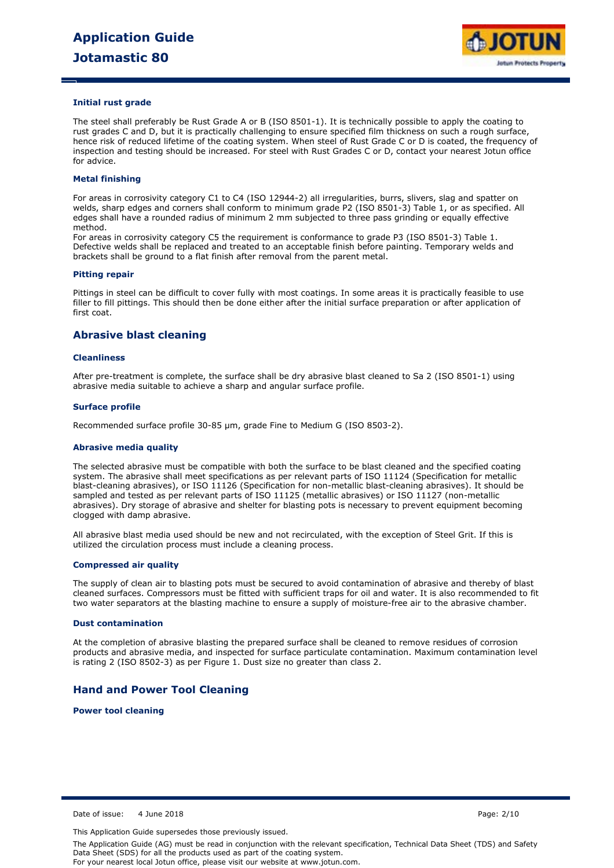

#### **Initial rust grade**

The steel shall preferably be Rust Grade A or B (ISO 8501-1). It is technically possible to apply the coating to rust grades C and D, but it is practically challenging to ensure specified film thickness on such a rough surface, hence risk of reduced lifetime of the coating system. When steel of Rust Grade C or D is coated, the frequency of inspection and testing should be increased. For steel with Rust Grades C or D, contact your nearest Jotun office for advice.

#### **Metal finishing**

For areas in corrosivity category C1 to C4 (ISO 12944-2) all irregularities, burrs, slivers, slag and spatter on welds, sharp edges and corners shall conform to minimum grade P2 (ISO 8501-3) Table 1, or as specified. All edges shall have a rounded radius of minimum 2 mm subjected to three pass grinding or equally effective method.

For areas in corrosivity category C5 the requirement is conformance to grade P3 (ISO 8501-3) Table 1. Defective welds shall be replaced and treated to an acceptable finish before painting. Temporary welds and brackets shall be ground to a flat finish after removal from the parent metal.

#### **Pitting repair**

Pittings in steel can be difficult to cover fully with most coatings. In some areas it is practically feasible to use filler to fill pittings. This should then be done either after the initial surface preparation or after application of first coat.

### **Abrasive blast cleaning**

#### **Cleanliness**

After pre-treatment is complete, the surface shall be dry abrasive blast cleaned to Sa 2 (ISO 8501-1) using abrasive media suitable to achieve a sharp and angular surface profile.

#### **Surface profile**

Recommended surface profile 30-85 µm, grade Fine to Medium G (ISO 8503-2).

#### **Abrasive media quality**

The selected abrasive must be compatible with both the surface to be blast cleaned and the specified coating system. The abrasive shall meet specifications as per relevant parts of ISO 11124 (Specification for metallic blast-cleaning abrasives), or ISO 11126 (Specification for non-metallic blast-cleaning abrasives). It should be sampled and tested as per relevant parts of ISO 11125 (metallic abrasives) or ISO 11127 (non-metallic abrasives). Dry storage of abrasive and shelter for blasting pots is necessary to prevent equipment becoming clogged with damp abrasive.

All abrasive blast media used should be new and not recirculated, with the exception of Steel Grit. If this is utilized the circulation process must include a cleaning process.

#### **Compressed air quality**

The supply of clean air to blasting pots must be secured to avoid contamination of abrasive and thereby of blast cleaned surfaces. Compressors must be fitted with sufficient traps for oil and water. It is also recommended to fit two water separators at the blasting machine to ensure a supply of moisture-free air to the abrasive chamber.

#### **Dust contamination**

At the completion of abrasive blasting the prepared surface shall be cleaned to remove residues of corrosion products and abrasive media, and inspected for surface particulate contamination. Maximum contamination level is rating 2 (ISO 8502-3) as per Figure 1. Dust size no greater than class 2.

#### **Hand and Power Tool Cleaning**

**Power tool cleaning**

Date of issue: 4 June 2018 Page: 2/10

This Application Guide supersedes those previously issued.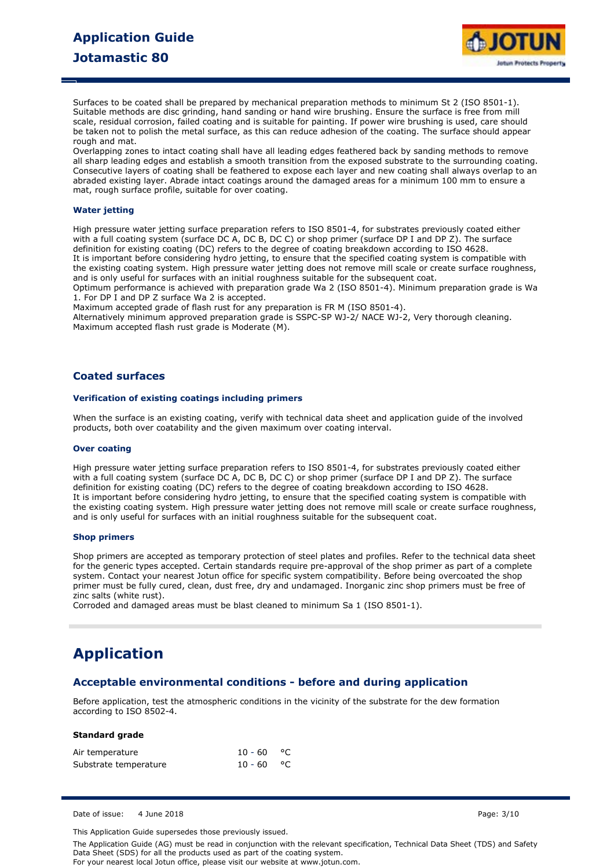

Surfaces to be coated shall be prepared by mechanical preparation methods to minimum St 2 (ISO 8501-1). Suitable methods are disc grinding, hand sanding or hand wire brushing. Ensure the surface is free from mill scale, residual corrosion, failed coating and is suitable for painting. If power wire brushing is used, care should be taken not to polish the metal surface, as this can reduce adhesion of the coating. The surface should appear rough and mat.

Overlapping zones to intact coating shall have all leading edges feathered back by sanding methods to remove all sharp leading edges and establish a smooth transition from the exposed substrate to the surrounding coating. Consecutive layers of coating shall be feathered to expose each layer and new coating shall always overlap to an abraded existing layer. Abrade intact coatings around the damaged areas for a minimum 100 mm to ensure a mat, rough surface profile, suitable for over coating.

#### **Water jetting**

High pressure water jetting surface preparation refers to ISO 8501-4, for substrates previously coated either with a full coating system (surface DC A, DC B, DC C) or shop primer (surface DP I and DP Z). The surface definition for existing coating (DC) refers to the degree of coating breakdown according to ISO 4628. It is important before considering hydro jetting, to ensure that the specified coating system is compatible with the existing coating system. High pressure water jetting does not remove mill scale or create surface roughness, and is only useful for surfaces with an initial roughness suitable for the subsequent coat.

Optimum performance is achieved with preparation grade Wa 2 (ISO 8501-4). Minimum preparation grade is Wa 1. For DP I and DP Z surface Wa 2 is accepted.

Maximum accepted grade of flash rust for any preparation is FR M (ISO 8501-4).

Alternatively minimum approved preparation grade is SSPC-SP WJ-2/ NACE WJ-2, Very thorough cleaning. Maximum accepted flash rust grade is Moderate (M).

### **Coated surfaces**

#### **Verification of existing coatings including primers**

When the surface is an existing coating, verify with technical data sheet and application guide of the involved products, both over coatability and the given maximum over coating interval.

#### **Over coating**

High pressure water jetting surface preparation refers to ISO 8501-4, for substrates previously coated either with a full coating system (surface DC A, DC B, DC C) or shop primer (surface DP I and DP Z). The surface definition for existing coating (DC) refers to the degree of coating breakdown according to ISO 4628. It is important before considering hydro jetting, to ensure that the specified coating system is compatible with the existing coating system. High pressure water jetting does not remove mill scale or create surface roughness, and is only useful for surfaces with an initial roughness suitable for the subsequent coat.

#### **Shop primers**

Shop primers are accepted as temporary protection of steel plates and profiles. Refer to the technical data sheet for the generic types accepted. Certain standards require pre-approval of the shop primer as part of a complete system. Contact your nearest Jotun office for specific system compatibility. Before being overcoated the shop primer must be fully cured, clean, dust free, dry and undamaged. Inorganic zinc shop primers must be free of zinc salts (white rust).

Corroded and damaged areas must be blast cleaned to minimum Sa 1 (ISO 8501-1).

# **Application**

### **Acceptable environmental conditions - before and during application**

Before application, test the atmospheric conditions in the vicinity of the substrate for the dew formation according to ISO 8502-4.

#### **Standard grade**

| Air temperature       | $10 - 60$ °C |  |
|-----------------------|--------------|--|
| Substrate temperature | $10 - 60$ °C |  |

Date of issue: 4 June 2018 Page: 3/10

This Application Guide supersedes those previously issued.

The Application Guide (AG) must be read in conjunction with the relevant specification, Technical Data Sheet (TDS) and Safety Data Sheet (SDS) for all the products used as part of the coating system.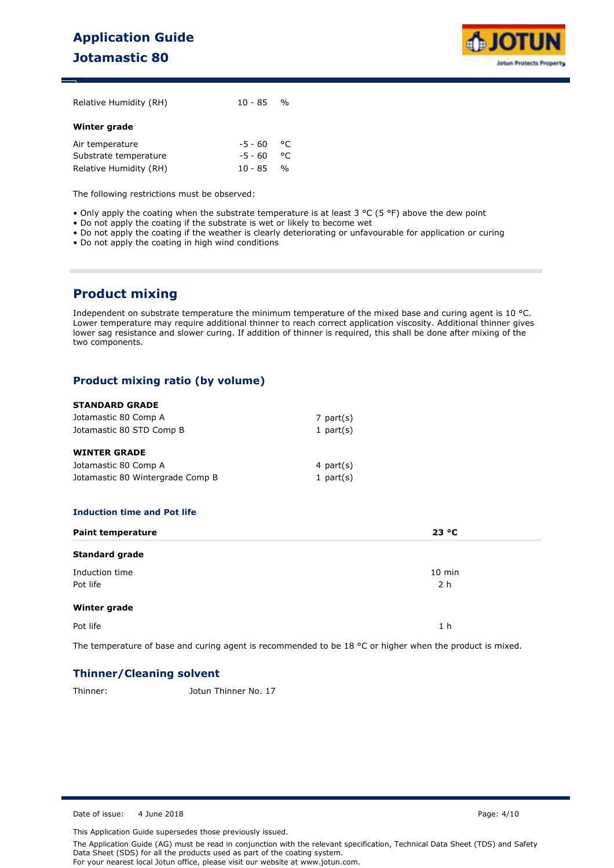# **Application Guide Jotamastic 80**



| Relative Humidity (RH) | $10 - 85$ % |               |
|------------------------|-------------|---------------|
| Winter grade           |             |               |
| Air temperature        | -5 - 60     | $^{\circ}$ C  |
| Substrate temperature  | $-5 - 60$   | $^{\circ}$ C  |
| Relative Humidity (RH) | $10 - 85$   | $\frac{0}{0}$ |

The following restrictions must be observed:

- Only apply the coating when the substrate temperature is at least  $3 \text{ °C}$  (5 °F) above the dew point
- Do not apply the coating if the substrate is wet or likely to become wet
- Do not apply the coating if the weather is clearly deteriorating or unfavourable for application or curing
- Do not apply the coating in high wind conditions

# **Product mixing**

Independent on substrate temperature the minimum temperature of the mixed base and curing agent is 10 °C. Lower temperature may require additional thinner to reach correct application viscosity. Additional thinner gives lower sag resistance and slower curing. If addition of thinner is required, this shall be done after mixing of the two components.

# **Product mixing ratio (by volume)**

#### **STANDARD GRADE**

| Jotamastic 80 Comp A             | 7 part $(s)$ |
|----------------------------------|--------------|
| Jotamastic 80 STD Comp B         | 1 part $(s)$ |
|                                  |              |
| <b>WINTER GRADE</b>              |              |
| Jotamastic 80 Comp A             | 4 part $(s)$ |
| Jotamastic 80 Wintergrade Comp B | 1 part $(s)$ |

### **Induction time and Pot life**

| <b>Paint temperature</b>   | 23 °C                      |
|----------------------------|----------------------------|
| <b>Standard grade</b>      |                            |
| Induction time<br>Pot life | $10$ min<br>2 <sub>h</sub> |
| Winter grade               |                            |
| Pot life                   | 1 <sub>h</sub>             |

The temperature of base and curing agent is recommended to be 18 °C or higher when the product is mixed.

## **Thinner/Cleaning solvent**

Thinner: Jotun Thinner No. 17

Date of issue: 4 June 2018 Page: 4/10

This Application Guide supersedes those previously issued.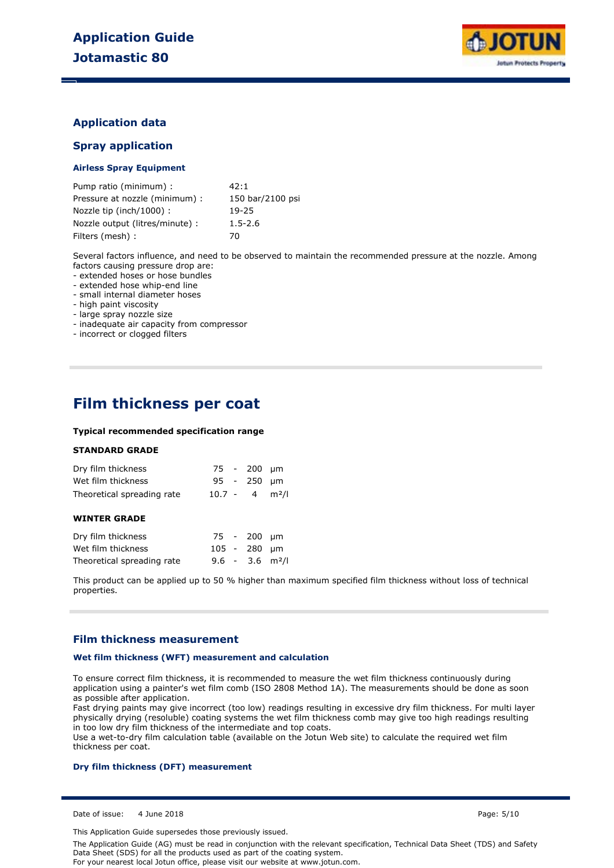

### **Application data**

### **Spray application**

#### **Airless Spray Equipment**

| Pump ratio (minimum) :          | 42:1             |
|---------------------------------|------------------|
| Pressure at nozzle (minimum) :  | 150 bar/2100 psi |
| Nozzle tip (inch/1000):         | 19-25            |
| Nozzle output (litres/minute) : | $1.5 - 2.6$      |
| Filters (mesh) :                | 70               |

Several factors influence, and need to be observed to maintain the recommended pressure at the nozzle. Among factors causing pressure drop are:

- extended hoses or hose bundles

- extended hose whip-end line

- small internal diameter hoses

- high paint viscosity

- large spray nozzle size

- inadequate air capacity from compressor

- incorrect or clogged filters

# **Film thickness per coat**

#### **Typical recommended specification range**

#### **STANDARD GRADE**

| Dry film thickness                |                              | 75 - 200 µm      |  |
|-----------------------------------|------------------------------|------------------|--|
| Wet film thickness                |                              | $95 - 250 \mu m$ |  |
| Theoretical spreading rate        | $10.7 - 4$ m <sup>2</sup> /l |                  |  |
| <b>WINTER GRADE</b>               |                              |                  |  |
| Denne Charles Alettel and a grant |                              | ---- ---         |  |

| Dry film thickness         |  | 75 - 200 µm  |                               |
|----------------------------|--|--------------|-------------------------------|
| Wet film thickness         |  | 105 - 280 µm |                               |
| Theoretical spreading rate |  |              | $9.6 - 3.6$ m <sup>2</sup> /l |

This product can be applied up to 50 % higher than maximum specified film thickness without loss of technical properties.

### **Film thickness measurement**

#### **Wet film thickness (WFT) measurement and calculation**

To ensure correct film thickness, it is recommended to measure the wet film thickness continuously during application using a painter's wet film comb (ISO 2808 Method 1A). The measurements should be done as soon as possible after application.

Fast drying paints may give incorrect (too low) readings resulting in excessive dry film thickness. For multi layer physically drying (resoluble) coating systems the wet film thickness comb may give too high readings resulting in too low dry film thickness of the intermediate and top coats.

Use a wet-to-dry film calculation table (available on the Jotun Web site) to calculate the required wet film thickness per coat.

#### **Dry film thickness (DFT) measurement**

Date of issue: 4 June 2018 Page: 5/10

This Application Guide supersedes those previously issued.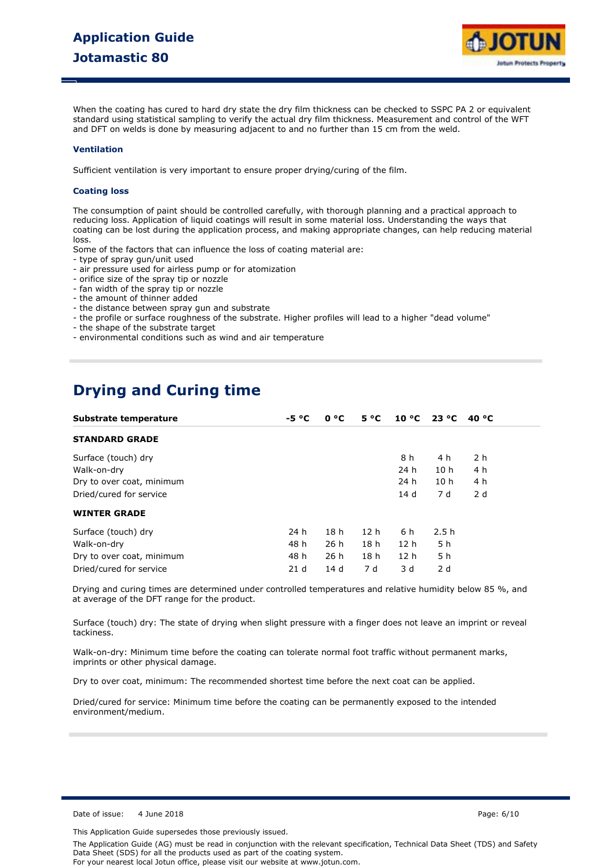

When the coating has cured to hard dry state the dry film thickness can be checked to SSPC PA 2 or equivalent standard using statistical sampling to verify the actual dry film thickness. Measurement and control of the WFT and DFT on welds is done by measuring adjacent to and no further than 15 cm from the weld.

#### **Ventilation**

Sufficient ventilation is very important to ensure proper drying/curing of the film.

#### **Coating loss**

The consumption of paint should be controlled carefully, with thorough planning and a practical approach to reducing loss. Application of liquid coatings will result in some material loss. Understanding the ways that coating can be lost during the application process, and making appropriate changes, can help reducing material loss.

Some of the factors that can influence the loss of coating material are:

- type of spray gun/unit used
- air pressure used for airless pump or for atomization
- orifice size of the spray tip or nozzle
- fan width of the spray tip or nozzle
- the amount of thinner added
- the distance between spray gun and substrate
- the profile or surface roughness of the substrate. Higher profiles will lead to a higher "dead volume"
- the shape of the substrate target
- environmental conditions such as wind and air temperature

# **Drying and Curing time**

| Substrate temperature     | $-5 °C$         | 0 °C            | $5^{\circ}C$    | $10^{\circ}$ C  | 23 °C           | 40 °C          |  |
|---------------------------|-----------------|-----------------|-----------------|-----------------|-----------------|----------------|--|
| <b>STANDARD GRADE</b>     |                 |                 |                 |                 |                 |                |  |
| Surface (touch) dry       |                 |                 |                 | 8 h             | 4 h             | 2 <sub>h</sub> |  |
| Walk-on-dry               |                 |                 |                 | 24 h            | 10 <sub>h</sub> | 4 h            |  |
| Dry to over coat, minimum |                 |                 |                 | 24 h            | 10 <sub>h</sub> | 4 h            |  |
| Dried/cured for service   |                 |                 |                 | 14 d            | 7 d             | 2 d            |  |
| <b>WINTER GRADE</b>       |                 |                 |                 |                 |                 |                |  |
| Surface (touch) dry       | 24 h            | 18 <sub>h</sub> | 12 <sub>h</sub> | 6 h             | 2.5h            |                |  |
| Walk-on-dry               | 48 h            | 26h             | 18 <sub>h</sub> | 12 <sub>h</sub> | 5 h             |                |  |
| Dry to over coat, minimum | 48 h            | 26h             | 18 <sub>h</sub> | 12 <sub>h</sub> | 5 h             |                |  |
| Dried/cured for service   | 21 <sub>d</sub> | 14d             | 7 d             | 3 d             | 2d              |                |  |

Drying and curing times are determined under controlled temperatures and relative humidity below 85 %, and at average of the DFT range for the product.

Surface (touch) dry: The state of drying when slight pressure with a finger does not leave an imprint or reveal tackiness.

Walk-on-dry: Minimum time before the coating can tolerate normal foot traffic without permanent marks, imprints or other physical damage.

Dry to over coat, minimum: The recommended shortest time before the next coat can be applied.

Dried/cured for service: Minimum time before the coating can be permanently exposed to the intended environment/medium.

Date of issue: 4 June 2018 Page: 6/10

This Application Guide supersedes those previously issued.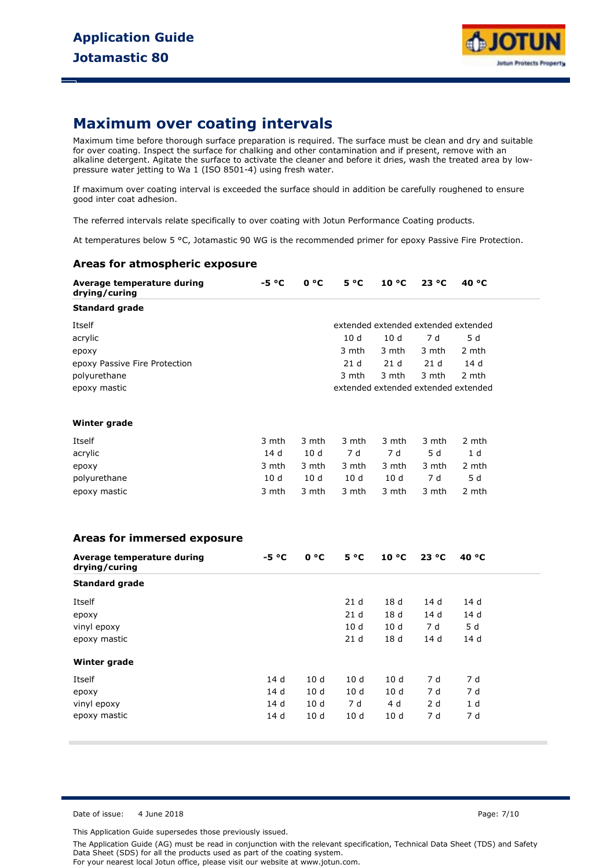

# **Maximum over coating intervals**

Maximum time before thorough surface preparation is required. The surface must be clean and dry and suitable for over coating. Inspect the surface for chalking and other contamination and if present, remove with an alkaline detergent. Agitate the surface to activate the cleaner and before it dries, wash the treated area by lowpressure water jetting to Wa 1 (ISO 8501-4) using fresh water.

If maximum over coating interval is exceeded the surface should in addition be carefully roughened to ensure good inter coat adhesion.

The referred intervals relate specifically to over coating with Jotun Performance Coating products.

At temperatures below 5 °C, Jotamastic 90 WG is the recommended primer for epoxy Passive Fire Protection.

### **Areas for atmospheric exposure**

| Average temperature during<br>drying/curing | $-5 °C$ | 0 °C            | $5^{\circ}C$    | $10^{\circ}$ C  | 23 °C           | 40 °C                               |
|---------------------------------------------|---------|-----------------|-----------------|-----------------|-----------------|-------------------------------------|
| <b>Standard grade</b>                       |         |                 |                 |                 |                 |                                     |
| Itself                                      |         |                 |                 |                 |                 | extended extended extended extended |
| acrylic                                     |         |                 | 10d             | 10 <sub>d</sub> | 7 d             | 5d                                  |
| ероху                                       |         |                 | 3 mth           | 3 mth           | 3 mth           | 2 mth                               |
| epoxy Passive Fire Protection               |         |                 | 21d             | 21 <sub>d</sub> | 21 <sub>d</sub> | 14d                                 |
| polyurethane                                |         |                 | 3 mth           | 3 mth           | 3 mth           | 2 mth                               |
| epoxy mastic                                |         |                 |                 |                 |                 | extended extended extended extended |
| Winter grade                                |         |                 |                 |                 |                 |                                     |
| Itself                                      | 3 mth   | 3 mth           | 3 mth           | 3 mth           | 3 mth           | 2 mth                               |
| acrylic                                     | 14 d    | 10 <sub>d</sub> | 7 d             | 7d              | 5d              | 1 d                                 |
| epoxy                                       | 3 mth   | 3 mth           | 3 mth           | 3 mth           | 3 mth           | 2 mth                               |
| polyurethane                                | 10d     | 10d             | 10d             | 10d             | 7 d             | 5d                                  |
| epoxy mastic                                | 3 mth   | 3 mth           | 3 mth           | 3 mth           | 3 mth           | 2 mth                               |
| Areas for immersed exposure                 |         |                 |                 |                 |                 |                                     |
| Average temperature during<br>drying/curing | $-5 °C$ | $0^{\circ}C$    | $5^{\circ}C$    | $10^{\circ}$ C  | 23 °C           | 40 °C                               |
| <b>Standard grade</b>                       |         |                 |                 |                 |                 |                                     |
| Itself                                      |         |                 | 21 <sub>d</sub> | 18 <sub>d</sub> | 14 d            | 14 d                                |
| ероху                                       |         |                 | 21 <sub>d</sub> | 18 d            | 14 d            | 14d                                 |
| vinyl epoxy                                 |         |                 | 10 <sub>d</sub> | 10 <sub>d</sub> | 7 d             | 5d                                  |
| epoxy mastic                                |         |                 | 21 <sub>d</sub> | 18 <sub>d</sub> | 14 d            | 14 d                                |
| Winter grade                                |         |                 |                 |                 |                 |                                     |
| Itself                                      | 14 d    | 10 <sub>d</sub> | 10 <sub>d</sub> | 10 <sub>d</sub> | 7 d             | 7 d                                 |
| epoxy                                       | 14d     | 10 <sub>d</sub> | 10 <sub>d</sub> | 10 <sub>d</sub> | 7 d             | 7 d                                 |
| vinyl epoxy                                 | 14 d    | 10d             | 7 d             | 4 d             | 2d              | 1 <sub>d</sub>                      |
| epoxy mastic                                | 14 d    | 10 <sub>d</sub> | 10 <sub>d</sub> | 10 <sub>d</sub> | 7 d             | 7 d                                 |

Date of issue: 4 June 2018 Page: 7/10

This Application Guide supersedes those previously issued.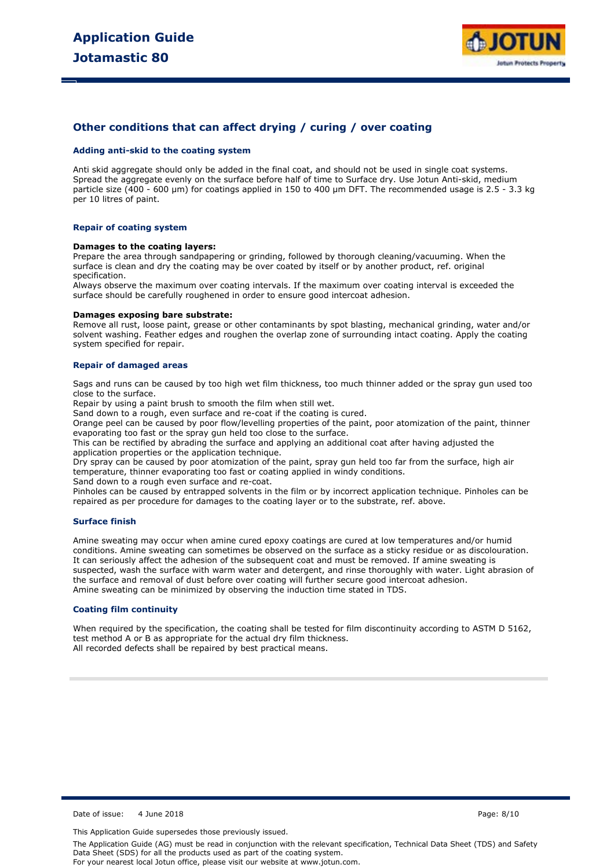

### **Other conditions that can affect drying / curing / over coating**

#### **Adding anti-skid to the coating system**

Anti skid aggregate should only be added in the final coat, and should not be used in single coat systems. Spread the aggregate evenly on the surface before half of time to Surface dry. Use Jotun Anti-skid, medium particle size (400 - 600 µm) for coatings applied in 150 to 400 µm DFT. The recommended usage is 2.5 - 3.3 kg per 10 litres of paint.

#### **Repair of coating system**

#### **Damages to the coating layers:**

Prepare the area through sandpapering or grinding, followed by thorough cleaning/vacuuming. When the surface is clean and dry the coating may be over coated by itself or by another product, ref. original specification.

Always observe the maximum over coating intervals. If the maximum over coating interval is exceeded the surface should be carefully roughened in order to ensure good intercoat adhesion.

#### **Damages exposing bare substrate:**

Remove all rust, loose paint, grease or other contaminants by spot blasting, mechanical grinding, water and/or solvent washing. Feather edges and roughen the overlap zone of surrounding intact coating. Apply the coating system specified for repair.

#### **Repair of damaged areas**

Sags and runs can be caused by too high wet film thickness, too much thinner added or the spray gun used too close to the surface.

Repair by using a paint brush to smooth the film when still wet.

Sand down to a rough, even surface and re-coat if the coating is cured.

Orange peel can be caused by poor flow/levelling properties of the paint, poor atomization of the paint, thinner evaporating too fast or the spray gun held too close to the surface.

This can be rectified by abrading the surface and applying an additional coat after having adjusted the application properties or the application technique.

Dry spray can be caused by poor atomization of the paint, spray gun held too far from the surface, high air temperature, thinner evaporating too fast or coating applied in windy conditions.

Sand down to a rough even surface and re-coat.

Pinholes can be caused by entrapped solvents in the film or by incorrect application technique. Pinholes can be repaired as per procedure for damages to the coating layer or to the substrate, ref. above.

#### **Surface finish**

Amine sweating may occur when amine cured epoxy coatings are cured at low temperatures and/or humid conditions. Amine sweating can sometimes be observed on the surface as a sticky residue or as discolouration. It can seriously affect the adhesion of the subsequent coat and must be removed. If amine sweating is suspected, wash the surface with warm water and detergent, and rinse thoroughly with water. Light abrasion of the surface and removal of dust before over coating will further secure good intercoat adhesion. Amine sweating can be minimized by observing the induction time stated in TDS.

#### **Coating film continuity**

When required by the specification, the coating shall be tested for film discontinuity according to ASTM D 5162, test method A or B as appropriate for the actual dry film thickness. All recorded defects shall be repaired by best practical means.

Date of issue: 4 June 2018 Page: 8/10

This Application Guide supersedes those previously issued.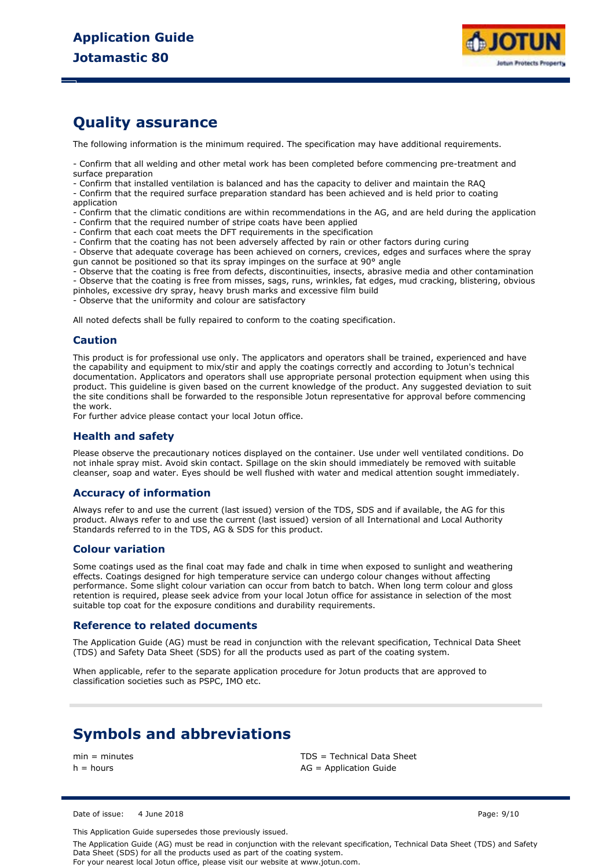

# **Quality assurance**

The following information is the minimum required. The specification may have additional requirements.

- Confirm that all welding and other metal work has been completed before commencing pre-treatment and surface preparation

- Confirm that installed ventilation is balanced and has the capacity to deliver and maintain the RAQ

- Confirm that the required surface preparation standard has been achieved and is held prior to coating application

- Confirm that the climatic conditions are within recommendations in the AG, and are held during the application

- Confirm that the required number of stripe coats have been applied
- Confirm that each coat meets the DFT requirements in the specification
- Confirm that the coating has not been adversely affected by rain or other factors during curing

- Observe that adequate coverage has been achieved on corners, crevices, edges and surfaces where the spray gun cannot be positioned so that its spray impinges on the surface at 90° angle

- Observe that the coating is free from defects, discontinuities, insects, abrasive media and other contamination

- Observe that the coating is free from misses, sags, runs, wrinkles, fat edges, mud cracking, blistering, obvious pinholes, excessive dry spray, heavy brush marks and excessive film build

.<br>- Observe that the uniformity and colour are satisfactory

All noted defects shall be fully repaired to conform to the coating specification.

### **Caution**

This product is for professional use only. The applicators and operators shall be trained, experienced and have the capability and equipment to mix/stir and apply the coatings correctly and according to Jotun's technical documentation. Applicators and operators shall use appropriate personal protection equipment when using this product. This guideline is given based on the current knowledge of the product. Any suggested deviation to suit the site conditions shall be forwarded to the responsible Jotun representative for approval before commencing the work.

For further advice please contact your local Jotun office.

### **Health and safety**

Please observe the precautionary notices displayed on the container. Use under well ventilated conditions. Do not inhale spray mist. Avoid skin contact. Spillage on the skin should immediately be removed with suitable cleanser, soap and water. Eyes should be well flushed with water and medical attention sought immediately.

### **Accuracy of information**

Always refer to and use the current (last issued) version of the TDS, SDS and if available, the AG for this product. Always refer to and use the current (last issued) version of all International and Local Authority Standards referred to in the TDS, AG & SDS for this product.

#### **Colour variation**

Some coatings used as the final coat may fade and chalk in time when exposed to sunlight and weathering effects. Coatings designed for high temperature service can undergo colour changes without affecting performance. Some slight colour variation can occur from batch to batch. When long term colour and gloss retention is required, please seek advice from your local Jotun office for assistance in selection of the most suitable top coat for the exposure conditions and durability requirements.

#### **Reference to related documents**

The Application Guide (AG) must be read in conjunction with the relevant specification, Technical Data Sheet (TDS) and Safety Data Sheet (SDS) for all the products used as part of the coating system.

When applicable, refer to the separate application procedure for Jotun products that are approved to classification societies such as PSPC, IMO etc.

# **Symbols and abbreviations**

min = minutes TDS = Technical Data Sheet  $h =$  hours  $AG =$  Application Guide

Date of issue: 4 June 2018 Page: 9/10

This Application Guide supersedes those previously issued.